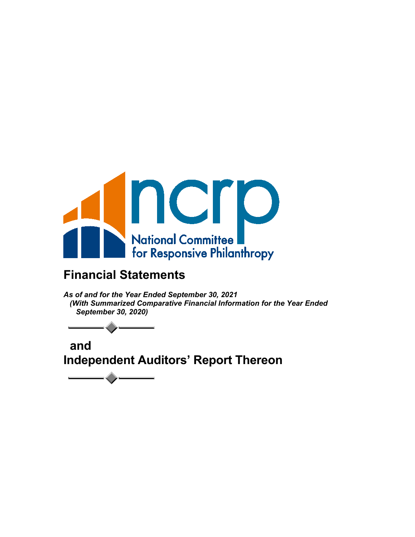

# **Financial Statements**

*As of and for the Year Ended September 30, 2021 (With Summarized Comparative Financial Information for the Year Ended September 30, 2020)* 

 **and Independent Auditors' Report Thereon**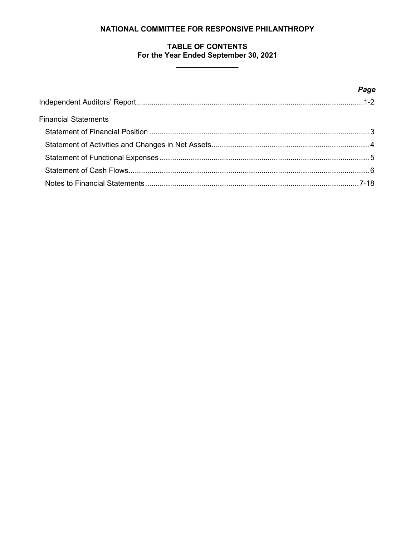## **TABLE OF CONTENTS For the Year Ended September 30, 2021**  $\frac{1}{2}$

|                             | Page |
|-----------------------------|------|
|                             |      |
| <b>Financial Statements</b> |      |
|                             |      |
|                             |      |
|                             |      |
|                             |      |
|                             |      |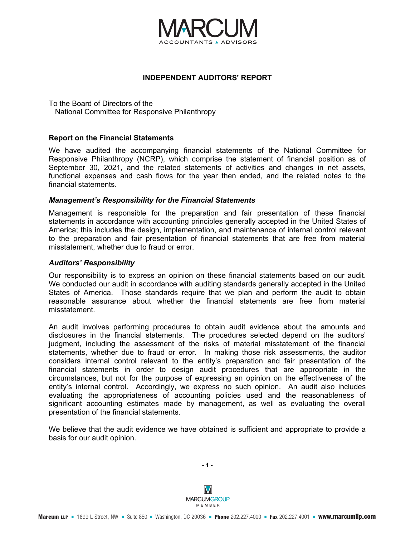

#### **INDEPENDENT AUDITORS' REPORT**

To the Board of Directors of the National Committee for Responsive Philanthropy

#### **Report on the Financial Statements**

We have audited the accompanying financial statements of the National Committee for Responsive Philanthropy (NCRP), which comprise the statement of financial position as of September 30, 2021, and the related statements of activities and changes in net assets, functional expenses and cash flows for the year then ended, and the related notes to the financial statements.

#### *Management's Responsibility for the Financial Statements*

Management is responsible for the preparation and fair presentation of these financial statements in accordance with accounting principles generally accepted in the United States of America; this includes the design, implementation, and maintenance of internal control relevant to the preparation and fair presentation of financial statements that are free from material misstatement, whether due to fraud or error.

#### *Auditors' Responsibility*

Our responsibility is to express an opinion on these financial statements based on our audit. We conducted our audit in accordance with auditing standards generally accepted in the United States of America. Those standards require that we plan and perform the audit to obtain reasonable assurance about whether the financial statements are free from material misstatement.

An audit involves performing procedures to obtain audit evidence about the amounts and disclosures in the financial statements. The procedures selected depend on the auditors' judgment, including the assessment of the risks of material misstatement of the financial statements, whether due to fraud or error. In making those risk assessments, the auditor considers internal control relevant to the entity's preparation and fair presentation of the financial statements in order to design audit procedures that are appropriate in the circumstances, but not for the purpose of expressing an opinion on the effectiveness of the entity's internal control. Accordingly, we express no such opinion. An audit also includes evaluating the appropriateness of accounting policies used and the reasonableness of significant accounting estimates made by management, as well as evaluating the overall presentation of the financial statements.

We believe that the audit evidence we have obtained is sufficient and appropriate to provide a basis for our audit opinion.

**- 1 -**

M **MARCUMGROUP** MEMBER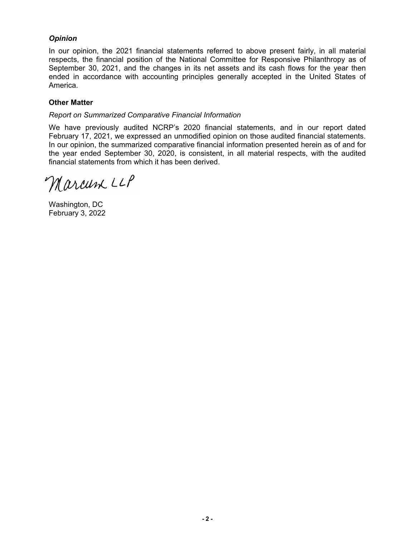## *Opinion*

In our opinion, the 2021 financial statements referred to above present fairly, in all material respects, the financial position of the National Committee for Responsive Philanthropy as of September 30, 2021, and the changes in its net assets and its cash flows for the year then ended in accordance with accounting principles generally accepted in the United States of America.

## **Other Matter**

#### *Report on Summarized Comparative Financial Information*

We have previously audited NCRP's 2020 financial statements, and in our report dated February 17, 2021, we expressed an unmodified opinion on those audited financial statements. In our opinion, the summarized comparative financial information presented herein as of and for the year ended September 30, 2020, is consistent, in all material respects, with the audited financial statements from which it has been derived.

Marcum LLP

Washington, DC February 3, 2022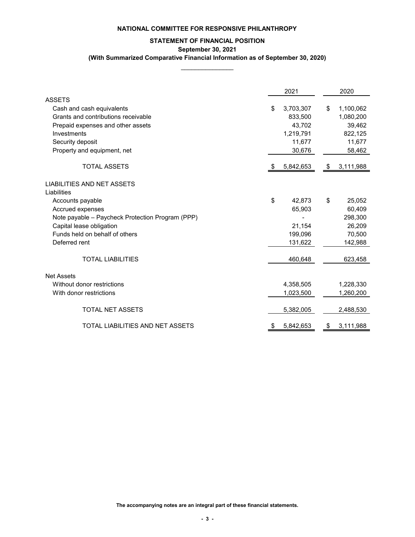## **STATEMENT OF FINANCIAL POSITION**

## **September 30, 2021**

**(With Summarized Comparative Financial Information as of September 30, 2020)**  $\overline{\phantom{a}}$  , where  $\overline{\phantom{a}}$ 

|                                                  |    | 2021      | 2020            |
|--------------------------------------------------|----|-----------|-----------------|
| <b>ASSETS</b>                                    |    |           |                 |
| Cash and cash equivalents                        | \$ | 3,703,307 | \$<br>1,100,062 |
| Grants and contributions receivable              |    | 833,500   | 1,080,200       |
| Prepaid expenses and other assets                |    | 43,702    | 39,462          |
| Investments                                      |    | 1,219,791 | 822,125         |
| Security deposit                                 |    | 11,677    | 11,677          |
| Property and equipment, net                      |    | 30,676    | 58,462          |
| <b>TOTAL ASSETS</b>                              | \$ | 5,842,653 | \$<br>3,111,988 |
| <b>LIABILITIES AND NET ASSETS</b>                |    |           |                 |
| Liabilities                                      |    |           |                 |
| Accounts payable                                 | \$ | 42,873    | \$<br>25,052    |
| <b>Accrued expenses</b>                          |    | 65,903    | 60,409          |
| Note payable – Paycheck Protection Program (PPP) |    |           | 298,300         |
| Capital lease obligation                         |    | 21,154    | 26,209          |
| Funds held on behalf of others                   |    | 199,096   | 70,500          |
| Deferred rent                                    |    | 131,622   | 142,988         |
| <b>TOTAL LIABILITIES</b>                         |    | 460,648   | 623,458         |
| <b>Net Assets</b>                                |    |           |                 |
| Without donor restrictions                       |    | 4,358,505 | 1,228,330       |
| With donor restrictions                          |    | 1,023,500 | 1,260,200       |
| <b>TOTAL NET ASSETS</b>                          |    | 5,382,005 | 2,488,530       |
| <b>TOTAL LIABILITIES AND NET ASSETS</b>          | S  | 5,842,653 | \$<br>3,111,988 |

**The accompanying notes are an integral part of these financial statements.**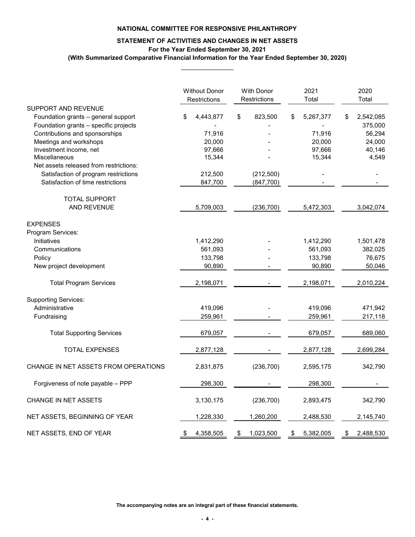## **(With Summarized Comparative Financial Information for the Year Ended September 30, 2020) STATEMENT OF ACTIVITIES AND CHANGES IN NET ASSETS For the Year Ended September 30, 2021**

 $\overline{\phantom{a}}$  , where  $\overline{\phantom{a}}$ 

|                                        |     | <b>Without Donor</b><br><b>Restrictions</b> | <b>With Donor</b><br><b>Restrictions</b> | 2021<br>Total   | 2020<br>Total   |
|----------------------------------------|-----|---------------------------------------------|------------------------------------------|-----------------|-----------------|
| <b>SUPPORT AND REVENUE</b>             |     |                                             |                                          |                 |                 |
| Foundation grants - general support    | \$. | 4,443,877                                   | \$<br>823,500                            | \$<br>5,267,377 | \$<br>2,542,085 |
| Foundation grants - specific projects  |     |                                             |                                          |                 | 375,000         |
| Contributions and sponsorships         |     | 71,916                                      |                                          | 71,916          | 56,294          |
| Meetings and workshops                 |     | 20,000                                      |                                          | 20,000          | 24,000          |
| Investment income, net                 |     | 97,666                                      |                                          | 97,666          | 40,146          |
| Miscellaneous                          |     | 15,344                                      |                                          | 15,344          | 4,549           |
| Net assets released from restrictions: |     |                                             |                                          |                 |                 |
| Satisfaction of program restrictions   |     | 212,500                                     | (212,500)                                |                 |                 |
| Satisfaction of time restrictions      |     | 847,700                                     | (847,700)                                |                 |                 |
| <b>TOTAL SUPPORT</b>                   |     |                                             |                                          |                 |                 |
| <b>AND REVENUE</b>                     |     | 5,709,003                                   | (236, 700)                               | 5,472,303       | 3,042,074       |
| <b>EXPENSES</b>                        |     |                                             |                                          |                 |                 |
| Program Services:                      |     |                                             |                                          |                 |                 |
| Initiatives                            |     | 1,412,290                                   |                                          | 1,412,290       | 1,501,478       |
| Communications                         |     | 561,093                                     |                                          | 561,093         | 382,025         |
| Policy                                 |     | 133,798                                     |                                          | 133,798         | 76,675          |
| New project development                |     | 90,890                                      |                                          | 90,890          | 50,046          |
| <b>Total Program Services</b>          |     | 2,198,071                                   |                                          | 2,198,071       | 2,010,224       |
| <b>Supporting Services:</b>            |     |                                             |                                          |                 |                 |
| Administrative                         |     | 419,096                                     |                                          | 419,096         | 471,942         |
| Fundraising                            |     | 259,961                                     |                                          | 259,961         | 217,118         |
| <b>Total Supporting Services</b>       |     | 679,057                                     |                                          | 679,057         | 689,060         |
| <b>TOTAL EXPENSES</b>                  |     | 2,877,128                                   |                                          | 2,877,128       | 2,699,284       |
| CHANGE IN NET ASSETS FROM OPERATIONS   |     | 2,831,875                                   | (236, 700)                               | 2,595,175       | 342,790         |
| Forgiveness of note payable – PPP      |     | 298,300                                     |                                          | 298,300         |                 |
| <b>CHANGE IN NET ASSETS</b>            |     | 3,130,175                                   | (236, 700)                               | 2,893,475       | 342,790         |
| NET ASSETS, BEGINNING OF YEAR          |     | 1,228,330                                   | 1,260,200                                | 2,488,530       | 2,145,740       |
| NET ASSETS, END OF YEAR                | S.  | 4,358,505                                   | \$<br>1,023,500                          | \$<br>5,382,005 | \$<br>2,488,530 |

**The accompanying notes are an integral part of these financial statements.**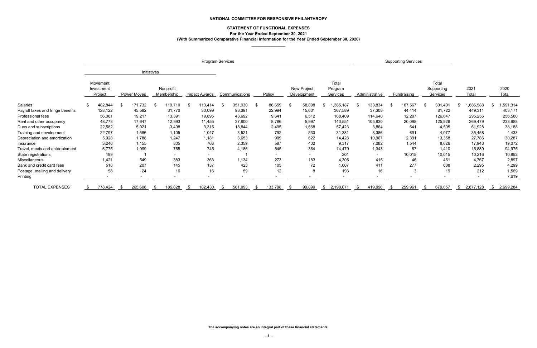## **STATEMENT OF FUNCTIONAL EXPENSES**

## **For the Year Ended September 30, 2021**

|                                   | <b>Program Services</b> |                                   |  |                    |             |                         |      |               |     |                |     |         | <b>Supporting Services</b> |                |                              |    |                |     |             |     |                                 |     |               |    |               |  |
|-----------------------------------|-------------------------|-----------------------------------|--|--------------------|-------------|-------------------------|------|---------------|-----|----------------|-----|---------|----------------------------|----------------|------------------------------|----|----------------|-----|-------------|-----|---------------------------------|-----|---------------|----|---------------|--|
|                                   |                         |                                   |  |                    | Initiatives |                         |      |               |     |                |     |         |                            |                |                              |    |                |     |             |     |                                 |     |               |    |               |  |
|                                   |                         | Movement<br>Investment<br>Project |  | <b>Power Moves</b> |             | Nonprofit<br>Membership |      | Impact Awards |     | Communications |     | Policy  | New Project<br>Development |                | Total<br>Program<br>Services |    | Administrative |     | Fundraising |     | Total<br>Supporting<br>Services |     | 2021<br>Total |    | 2020<br>Total |  |
| Salaries                          |                         | 482,844                           |  | 171,732            | S           | 119,710                 | - \$ | 113,414       | -\$ | 351,930        | -\$ | 86,659  | \$<br>58,898               | S.             | ,385,187                     | \$ | 133,834        | \$  | 167,567     | -\$ | 301,401                         | -\$ | ,686,588      | \$ | ,591,314      |  |
| Payroll taxes and fringe benefits |                         | 128,122                           |  | 45,582             |             | 31,770                  |      | 30,099        |     | 93,391         |     | 22,994  | 15,631                     |                | 367,589                      |    | 37,308         |     | 44,414      |     | 81,722                          |     | 449,311       |    | 403,171       |  |
| Professional fees                 |                         | 56,061                            |  | 19,217             |             | 13,391                  |      | 19,895        |     | 43,692         |     | 9,641   | 6,512                      |                | 168,409                      |    | 114,640        |     | 12,207      |     | 126,847                         |     | 295,256       |    | 256,580       |  |
| Rent and other occupancy          |                         | 48,773                            |  | 17,647             |             | 12,993                  |      | 11,455        |     | 37,900         |     | 8,786   | 5,997                      |                | 143,551                      |    | 105,830        |     | 20,098      |     | 125,928                         |     | 269,479       |    | 233,988       |  |
| Dues and subscriptions            |                         | 22,582                            |  | 5,021              |             | 3,498                   |      | 3,315         |     | 18,844         |     | 2,495   | 1,668                      |                | 57,423                       |    | 3,864          |     | 641         |     | 4,505                           |     | 61,928        |    | 38,188        |  |
| Training and development          |                         | 22,797                            |  | 1,586              |             | 1,105                   |      | 1,047         |     | 3,521          |     | 792     | 533                        |                | 31,381                       |    | 3,386          |     | 691         |     | 4,077                           |     | 35,458        |    | 4,433         |  |
| Depreciation and amortization     |                         | 5,028                             |  | 1,788              |             | 1,247                   |      | 1,181         |     | 3,653          |     | 909     | 622                        |                | 14,428                       |    | 10,967         |     | 2,391       |     | 13,358                          |     | 27,786        |    | 30,287        |  |
| Insurance                         |                         | 3,246                             |  | 1,155              |             | 805                     |      | 763           |     | 2,359          |     | 587     | 402                        |                | 9,317                        |    | 7,082          |     | 1,544       |     | 8,626                           |     | 17,943        |    | 19,072        |  |
| Travel, meals and entertainment   |                         | 6,775                             |  | 1,099              |             | 765                     |      | 745           |     | 4,186          |     | 545     | 364                        |                | 14,479                       |    | 1,343          |     | 67          |     | 1,410                           |     | 15,889        |    | 94,975        |  |
| State registrations               |                         | 199                               |  |                    |             |                         |      | $\sim$        |     |                |     | $\sim$  | $\sim$                     |                | 201                          |    | $\sim$         |     | 10,015      |     | 10,015                          |     | 10,216        |    | 10,892        |  |
| Miscellaneous                     |                         | 1,421                             |  | 549                |             | 383                     |      | 363           |     | 1,134          |     | 273     | 183                        |                | 4,306                        |    | 415            |     | 46          |     | 461                             |     | 4,767         |    | 2,897         |  |
| Bank and credit card fees         |                         | 518                               |  | 207                |             | 145                     |      | 137           |     | 423            |     | 105     | 72                         |                | 1,607                        |    | 411            |     | 277         |     | 688                             |     | 2,295         |    | 4,299         |  |
| Postage, mailing and delivery     |                         | 58                                |  | 24                 |             | 16                      |      | 16            |     | 59             |     | 12      | 8                          |                | 193                          |    | 16             |     | -3          |     | 19                              |     | 212           |    | 1,569         |  |
| Printing                          |                         |                                   |  |                    |             |                         |      |               |     |                |     |         |                            |                | $\sim$                       |    |                |     |             |     |                                 |     | $\sim$        |    | 7,619         |  |
| <b>TOTAL EXPENSES</b>             |                         | 778,424                           |  | 265,608            |             | 185,828                 | -86  | 182,430       |     | 561,093        | -SS | 133,798 | 90,890                     | $\mathfrak{S}$ | 2,198,071                    |    | 419,096        | -SS | 259,961     |     | 679,057                         | \$  | 2,877,128     | S. | 2,699,284     |  |

**(With Summarized Comparative Financial Information for the Year Ended September 30, 2020)**

 $\overline{\phantom{a}}$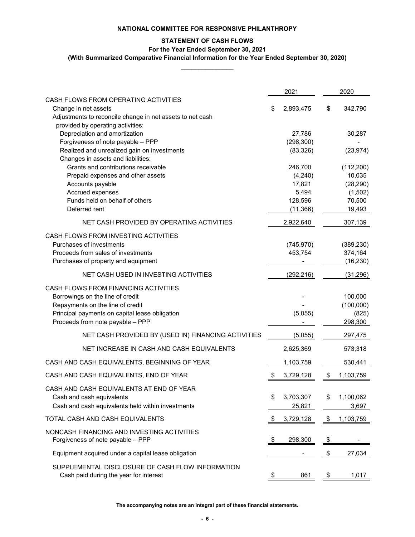## **STATEMENT OF CASH FLOWS**

## **For the Year Ended September 30, 2021**

## **(With Summarized Comparative Financial Information for the Year Ended September 30, 2020)**  $\overline{\phantom{a}}$  , where  $\overline{\phantom{a}}$

|                                                                                                                                                                                                           |    | 2021                                                          | 2020                                                            |
|-----------------------------------------------------------------------------------------------------------------------------------------------------------------------------------------------------------|----|---------------------------------------------------------------|-----------------------------------------------------------------|
| CASH FLOWS FROM OPERATING ACTIVITIES<br>Change in net assets<br>Adjustments to reconcile change in net assets to net cash<br>provided by operating activities:                                            | \$ | 2,893,475                                                     | \$<br>342,790                                                   |
| Depreciation and amortization<br>Forgiveness of note payable - PPP<br>Realized and unrealized gain on investments                                                                                         |    | 27,786<br>(298, 300)<br>(83, 326)                             | 30,287<br>(23, 974)                                             |
| Changes in assets and liabilities:<br>Grants and contributions receivable<br>Prepaid expenses and other assets<br>Accounts payable<br>Accrued expenses<br>Funds held on behalf of others<br>Deferred rent |    | 246,700<br>(4,240)<br>17,821<br>5,494<br>128,596<br>(11, 366) | (112,200)<br>10,035<br>(28, 290)<br>(1,502)<br>70,500<br>19,493 |
| NET CASH PROVIDED BY OPERATING ACTIVITIES                                                                                                                                                                 |    | 2,922,640                                                     | 307,139                                                         |
| CASH FLOWS FROM INVESTING ACTIVITIES<br>Purchases of investments<br>Proceeds from sales of investments<br>Purchases of property and equipment                                                             |    | (745, 970)<br>453,754                                         | (389, 230)<br>374,164<br>(16, 230)                              |
| NET CASH USED IN INVESTING ACTIVITIES                                                                                                                                                                     |    | (292, 216)                                                    | (31, 296)                                                       |
| <b>CASH FLOWS FROM FINANCING ACTIVITIES</b><br>Borrowings on the line of credit<br>Repayments on the line of credit<br>Principal payments on capital lease obligation<br>Proceeds from note payable - PPP |    | (5,055)                                                       | 100,000<br>(100,000)<br>(825)<br>298,300                        |
| NET CASH PROVIDED BY (USED IN) FINANCING ACTIVITIES                                                                                                                                                       |    | (5,055)                                                       | 297,475                                                         |
| NET INCREASE IN CASH AND CASH EQUIVALENTS                                                                                                                                                                 |    | 2,625,369                                                     | 573,318                                                         |
| CASH AND CASH EQUIVALENTS, BEGINNING OF YEAR                                                                                                                                                              |    | 1,103,759                                                     | 530,441                                                         |
| CASH AND CASH EQUIVALENTS, END OF YEAR                                                                                                                                                                    | S. | 3,729,128                                                     | \$<br>1,103,759                                                 |
| CASH AND CASH EQUIVALENTS AT END OF YEAR<br>Cash and cash equivalents<br>Cash and cash equivalents held within investments                                                                                | \$ | 3,703,307<br>25,821                                           | \$<br>1,100,062<br>3,697                                        |
| TOTAL CASH AND CASH EQUIVALENTS                                                                                                                                                                           | \$ | 3,729,128                                                     | \$<br>1,103,759                                                 |
| NONCASH FINANCING AND INVESTING ACTIVITIES<br>Forgiveness of note payable – PPP                                                                                                                           | \$ | 298,300                                                       | \$                                                              |
| Equipment acquired under a capital lease obligation                                                                                                                                                       |    |                                                               | \$<br>27,034                                                    |
| SUPPLEMENTAL DISCLOSURE OF CASH FLOW INFORMATION<br>Cash paid during the year for interest                                                                                                                | \$ | 861                                                           | \$<br>1,017                                                     |

**The accompanying notes are an integral part of these financial statements.**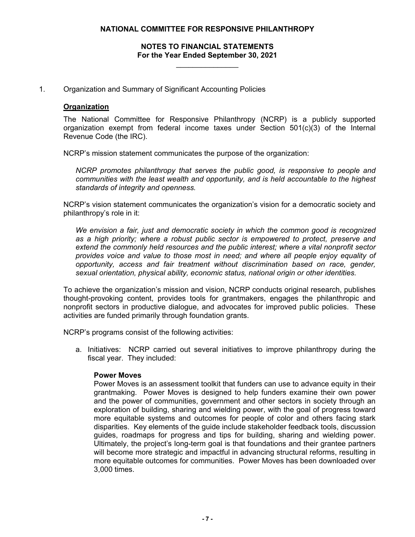#### **NOTES TO FINANCIAL STATEMENTS For the Year Ended September 30, 2021**  $\frac{1}{2}$

1. Organization and Summary of Significant Accounting Policies

#### **Organization**

The National Committee for Responsive Philanthropy (NCRP) is a publicly supported organization exempt from federal income taxes under Section 501(c)(3) of the Internal Revenue Code (the IRC).

NCRP's mission statement communicates the purpose of the organization:

*NCRP promotes philanthropy that serves the public good, is responsive to people and communities with the least wealth and opportunity, and is held accountable to the highest standards of integrity and openness.*

NCRP's vision statement communicates the organization's vision for a democratic society and philanthropy's role in it:

*We envision a fair, just and democratic society in which the common good is recognized as a high priority; where a robust public sector is empowered to protect, preserve and extend the commonly held resources and the public interest; where a vital nonprofit sector provides voice and value to those most in need; and where all people enjoy equality of opportunity, access and fair treatment without discrimination based on race, gender, sexual orientation, physical ability, economic status, national origin or other identities.*

To achieve the organization's mission and vision, NCRP conducts original research, publishes thought-provoking content, provides tools for grantmakers, engages the philanthropic and nonprofit sectors in productive dialogue, and advocates for improved public policies. These activities are funded primarily through foundation grants.

NCRP's programs consist of the following activities:

a. Initiatives: NCRP carried out several initiatives to improve philanthropy during the fiscal year. They included:

#### **Power Moves**

Power Moves is an assessment toolkit that funders can use to advance equity in their grantmaking. Power Moves is designed to help funders examine their own power and the power of communities, government and other sectors in society through an exploration of building, sharing and wielding power, with the goal of progress toward more equitable systems and outcomes for people of color and others facing stark disparities. Key elements of the guide include stakeholder feedback tools, discussion guides, roadmaps for progress and tips for building, sharing and wielding power. Ultimately, the project's long-term goal is that foundations and their grantee partners will become more strategic and impactful in advancing structural reforms, resulting in more equitable outcomes for communities. Power Moves has been downloaded over 3,000 times.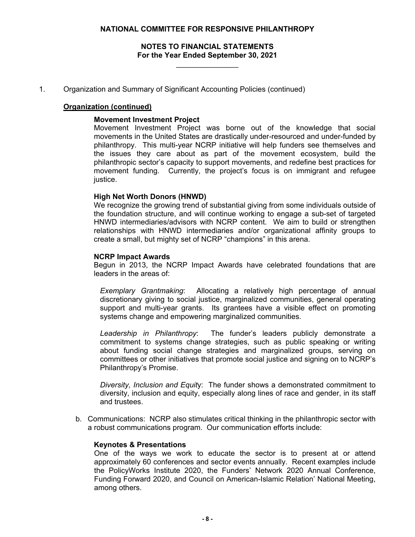#### **NOTES TO FINANCIAL STATEMENTS For the Year Ended September 30, 2021**  $\frac{1}{2}$

1. Organization and Summary of Significant Accounting Policies (continued)

#### **Organization (continued)**

#### **Movement Investment Project**

Movement Investment Project was borne out of the knowledge that social movements in the United States are drastically under-resourced and under-funded by philanthropy. This multi-year NCRP initiative will help funders see themselves and the issues they care about as part of the movement ecosystem, build the philanthropic sector's capacity to support movements, and redefine best practices for movement funding. Currently, the project's focus is on immigrant and refugee justice.

#### **High Net Worth Donors (HNWD)**

We recognize the growing trend of substantial giving from some individuals outside of the foundation structure, and will continue working to engage a sub-set of targeted HNWD intermediaries/advisors with NCRP content. We aim to build or strengthen relationships with HNWD intermediaries and/or organizational affinity groups to create a small, but mighty set of NCRP "champions" in this arena.

#### **NCRP Impact Awards**

Begun in 2013, the NCRP Impact Awards have celebrated foundations that are leaders in the areas of:

*Exemplary Grantmaking*: Allocating a relatively high percentage of annual discretionary giving to social justice, marginalized communities, general operating support and multi-year grants. Its grantees have a visible effect on promoting systems change and empowering marginalized communities.

*Leadership in Philanthropy*: The funder's leaders publicly demonstrate a commitment to systems change strategies, such as public speaking or writing about funding social change strategies and marginalized groups, serving on committees or other initiatives that promote social justice and signing on to NCRP's Philanthropy's Promise.

*Diversity, Inclusion and Equit*y: The funder shows a demonstrated commitment to diversity, inclusion and equity, especially along lines of race and gender, in its staff and trustees.

b. Communications: NCRP also stimulates critical thinking in the philanthropic sector with a robust communications program. Our communication efforts include:

#### **Keynotes & Presentations**

One of the ways we work to educate the sector is to present at or attend approximately 60 conferences and sector events annually. Recent examples include the PolicyWorks Institute 2020, the Funders' Network 2020 Annual Conference, Funding Forward 2020, and Council on American-Islamic Relation' National Meeting, among others.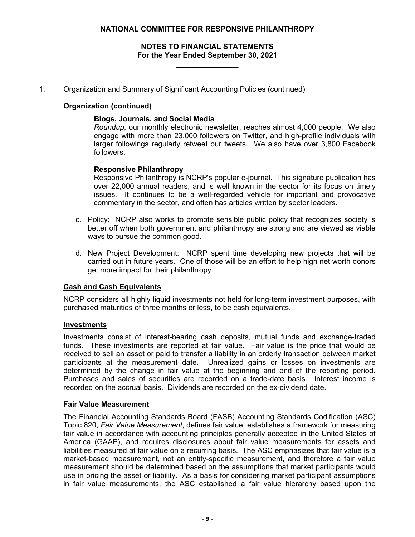#### **NOTES TO FINANCIAL STATEMENTS For the Year Ended September 30, 2021**  $\frac{1}{2}$

1. Organization and Summary of Significant Accounting Policies (continued)

#### **Organization (continued)**

#### **Blogs, Journals, and Social Media**

*Roundup*, our monthly electronic newsletter, reaches almost 4,000 people. We also engage with more than 23,000 followers on Twitter, and high-profile individuals with larger followings regularly retweet our tweets. We also have over 3,800 Facebook followers.

#### **Responsive Philanthropy**

Responsive Philanthropy is NCRP's popular e-journal. This signature publication has over 22,000 annual readers, and is well known in the sector for its focus on timely issues. It continues to be a well-regarded vehicle for important and provocative commentary in the sector, and often has articles written by sector leaders.

- c. Policy: NCRP also works to promote sensible public policy that recognizes society is better off when both government and philanthropy are strong and are viewed as viable ways to pursue the common good.
- d. New Project Development: NCRP spent time developing new projects that will be carried out in future years. One of those will be an effort to help high net worth donors get more impact for their philanthropy.

## **Cash and Cash Equivalents**

NCRP considers all highly liquid investments not held for long-term investment purposes, with purchased maturities of three months or less, to be cash equivalents.

#### **Investments**

Investments consist of interest-bearing cash deposits, mutual funds and exchange-traded funds. These investments are reported at fair value. Fair value is the price that would be received to sell an asset or paid to transfer a liability in an orderly transaction between market participants at the measurement date. Unrealized gains or losses on investments are determined by the change in fair value at the beginning and end of the reporting period. Purchases and sales of securities are recorded on a trade-date basis. Interest income is recorded on the accrual basis. Dividends are recorded on the ex-dividend date.

#### **Fair Value Measurement**

The Financial Accounting Standards Board (FASB) Accounting Standards Codification (ASC) Topic 820, *Fair Value Measurement*, defines fair value, establishes a framework for measuring fair value in accordance with accounting principles generally accepted in the United States of America (GAAP), and requires disclosures about fair value measurements for assets and liabilities measured at fair value on a recurring basis. The ASC emphasizes that fair value is a market-based measurement, not an entity-specific measurement, and therefore a fair value measurement should be determined based on the assumptions that market participants would use in pricing the asset or liability. As a basis for considering market participant assumptions in fair value measurements, the ASC established a fair value hierarchy based upon the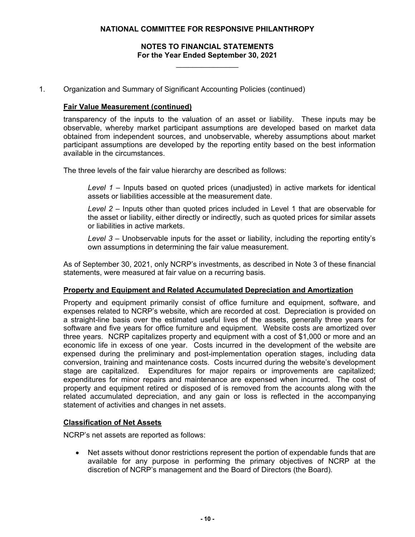#### **NOTES TO FINANCIAL STATEMENTS For the Year Ended September 30, 2021**  $\frac{1}{2}$

1. Organization and Summary of Significant Accounting Policies (continued)

#### **Fair Value Measurement (continued)**

transparency of the inputs to the valuation of an asset or liability. These inputs may be observable, whereby market participant assumptions are developed based on market data obtained from independent sources, and unobservable, whereby assumptions about market participant assumptions are developed by the reporting entity based on the best information available in the circumstances.

The three levels of the fair value hierarchy are described as follows:

*Level 1* – Inputs based on quoted prices (unadjusted) in active markets for identical assets or liabilities accessible at the measurement date.

*Level 2* – Inputs other than quoted prices included in Level 1 that are observable for the asset or liability, either directly or indirectly, such as quoted prices for similar assets or liabilities in active markets.

*Level 3* – Unobservable inputs for the asset or liability, including the reporting entity's own assumptions in determining the fair value measurement.

As of September 30, 2021, only NCRP's investments, as described in Note 3 of these financial statements, were measured at fair value on a recurring basis.

#### **Property and Equipment and Related Accumulated Depreciation and Amortization**

Property and equipment primarily consist of office furniture and equipment, software, and expenses related to NCRP's website, which are recorded at cost. Depreciation is provided on a straight-line basis over the estimated useful lives of the assets, generally three years for software and five years for office furniture and equipment. Website costs are amortized over three years. NCRP capitalizes property and equipment with a cost of \$1,000 or more and an economic life in excess of one year. Costs incurred in the development of the website are expensed during the preliminary and post-implementation operation stages, including data conversion, training and maintenance costs. Costs incurred during the website's development stage are capitalized. Expenditures for major repairs or improvements are capitalized; expenditures for minor repairs and maintenance are expensed when incurred. The cost of property and equipment retired or disposed of is removed from the accounts along with the related accumulated depreciation, and any gain or loss is reflected in the accompanying statement of activities and changes in net assets.

#### **Classification of Net Assets**

NCRP's net assets are reported as follows:

• Net assets without donor restrictions represent the portion of expendable funds that are available for any purpose in performing the primary objectives of NCRP at the discretion of NCRP's management and the Board of Directors (the Board).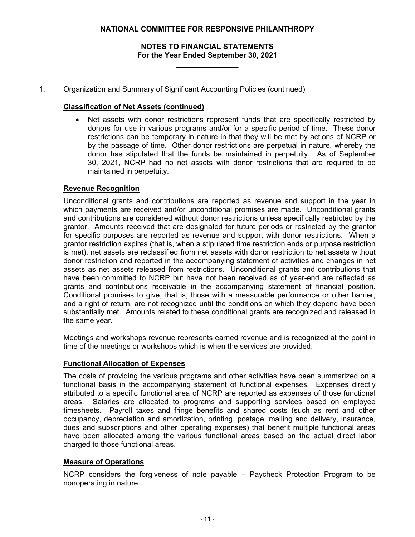#### **NOTES TO FINANCIAL STATEMENTS For the Year Ended September 30, 2021**  $\frac{1}{2}$

1. Organization and Summary of Significant Accounting Policies (continued)

#### **Classification of Net Assets (continued)**

• Net assets with donor restrictions represent funds that are specifically restricted by donors for use in various programs and/or for a specific period of time. These donor restrictions can be temporary in nature in that they will be met by actions of NCRP or by the passage of time. Other donor restrictions are perpetual in nature, whereby the donor has stipulated that the funds be maintained in perpetuity. As of September 30, 2021, NCRP had no net assets with donor restrictions that are required to be maintained in perpetuity.

#### **Revenue Recognition**

Unconditional grants and contributions are reported as revenue and support in the year in which payments are received and/or unconditional promises are made. Unconditional grants and contributions are considered without donor restrictions unless specifically restricted by the grantor. Amounts received that are designated for future periods or restricted by the grantor for specific purposes are reported as revenue and support with donor restrictions. When a grantor restriction expires (that is, when a stipulated time restriction ends or purpose restriction is met), net assets are reclassified from net assets with donor restriction to net assets without donor restriction and reported in the accompanying statement of activities and changes in net assets as net assets released from restrictions. Unconditional grants and contributions that have been committed to NCRP but have not been received as of year-end are reflected as grants and contributions receivable in the accompanying statement of financial position. Conditional promises to give, that is, those with a measurable performance or other barrier, and a right of return, are not recognized until the conditions on which they depend have been substantially met. Amounts related to these conditional grants are recognized and released in the same year.

Meetings and workshops revenue represents earned revenue and is recognized at the point in time of the meetings or workshops which is when the services are provided.

#### **Functional Allocation of Expenses**

The costs of providing the various programs and other activities have been summarized on a functional basis in the accompanying statement of functional expenses. Expenses directly attributed to a specific functional area of NCRP are reported as expenses of those functional areas. Salaries are allocated to programs and supporting services based on employee timesheets. Payroll taxes and fringe benefits and shared costs (such as rent and other occupancy, depreciation and amortization, printing, postage, mailing and delivery, insurance, dues and subscriptions and other operating expenses) that benefit multiple functional areas have been allocated among the various functional areas based on the actual direct labor charged to those functional areas.

## **Measure of Operations**

NCRP considers the forgiveness of note payable – Paycheck Protection Program to be nonoperating in nature.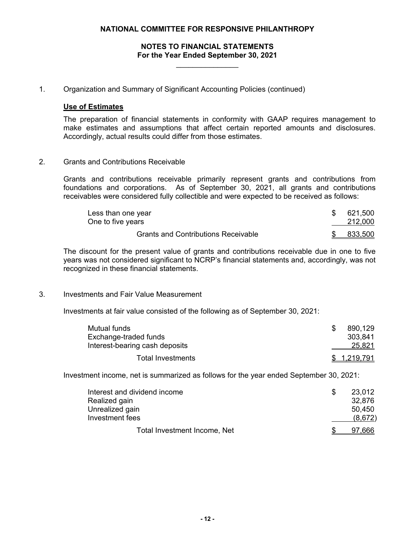### **NOTES TO FINANCIAL STATEMENTS For the Year Ended September 30, 2021**  $\frac{1}{2}$

1. Organization and Summary of Significant Accounting Policies (continued)

#### **Use of Estimates**

The preparation of financial statements in conformity with GAAP requires management to make estimates and assumptions that affect certain reported amounts and disclosures. Accordingly, actual results could differ from those estimates.

2. Grants and Contributions Receivable

Grants and contributions receivable primarily represent grants and contributions from foundations and corporations. As of September 30, 2021, all grants and contributions receivables were considered fully collectible and were expected to be received as follows:

| Less than one year                         | 621,500 |
|--------------------------------------------|---------|
| One to five years                          | 212,000 |
| <b>Grants and Contributions Receivable</b> | 833,500 |

The discount for the present value of grants and contributions receivable due in one to five years was not considered significant to NCRP's financial statements and, accordingly, was not recognized in these financial statements.

#### 3. Investments and Fair Value Measurement

Investments at fair value consisted of the following as of September 30, 2021:

| Mutual funds                   | 890,129     |
|--------------------------------|-------------|
| Exchange-traded funds          | 303.841     |
| Interest-bearing cash deposits | 25,821      |
| Total Investments              | \$1,219,791 |

Investment income, net is summarized as follows for the year ended September 30, 2021:

| Interest and dividend income | S | 23,012  |
|------------------------------|---|---------|
| Realized gain                |   | 32,876  |
| Unrealized gain              |   | 50.450  |
| Investment fees              |   | (8,672) |
| Total Investment Income, Net |   | 97.666  |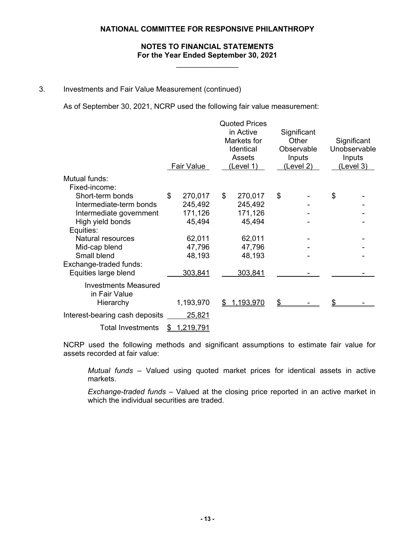### **NOTES TO FINANCIAL STATEMENTS For the Year Ended September 30, 2021**  $\frac{1}{2}$

#### 3. Investments and Fair Value Measurement (continued)

As of September 30, 2021, NCRP used the following fair value measurement:

|                                                | <b>Fair Value</b> | <b>Quoted Prices</b><br>in Active<br>Markets for<br>Identical<br>Assets<br>(Level 1) | Significant<br>Other<br>Observable<br>Inputs<br>(Level 2) | Significant<br>Unobservable<br>Inputs<br>(Level 3) |
|------------------------------------------------|-------------------|--------------------------------------------------------------------------------------|-----------------------------------------------------------|----------------------------------------------------|
| Mutual funds:<br>Fixed-income:                 |                   |                                                                                      |                                                           |                                                    |
| Short-term bonds                               | \$<br>270,017     | \$<br>270,017                                                                        | \$                                                        | \$                                                 |
| Intermediate-term bonds                        | 245,492           | 245,492                                                                              |                                                           |                                                    |
| Intermediate government                        | 171,126           | 171,126                                                                              |                                                           |                                                    |
| High yield bonds                               | 45,494            | 45,494                                                                               |                                                           |                                                    |
| Equities:                                      |                   |                                                                                      |                                                           |                                                    |
| <b>Natural resources</b>                       | 62,011            | 62,011                                                                               |                                                           |                                                    |
| Mid-cap blend                                  | 47,796            | 47,796                                                                               |                                                           |                                                    |
| Small blend                                    | 48,193            | 48,193                                                                               |                                                           |                                                    |
| Exchange-traded funds:<br>Equities large blend | 303,841           | 303,841                                                                              |                                                           |                                                    |
| <b>Investments Measured</b><br>in Fair Value   |                   |                                                                                      |                                                           |                                                    |
| Hierarchy                                      | 1,193,970         | \$1,193,970                                                                          | \$                                                        |                                                    |
| Interest-bearing cash deposits                 | 25,821            |                                                                                      |                                                           |                                                    |
| <b>Total Investments</b>                       | \$<br>1,219,791   |                                                                                      |                                                           |                                                    |

NCRP used the following methods and significant assumptions to estimate fair value for assets recorded at fair value:

*Mutual funds* – Valued using quoted market prices for identical assets in active markets.

*Exchange-traded funds* – Valued at the closing price reported in an active market in which the individual securities are traded.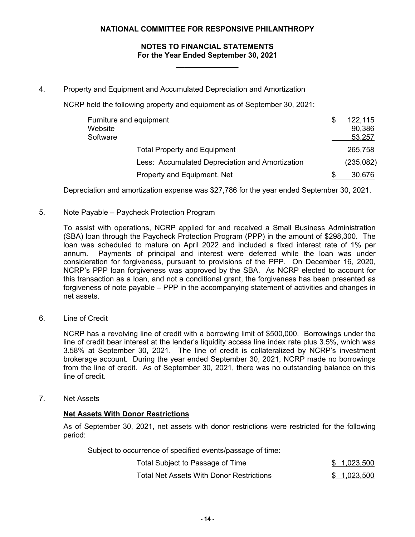#### **NOTES TO FINANCIAL STATEMENTS For the Year Ended September 30, 2021**  $\frac{1}{2}$

4. Property and Equipment and Accumulated Depreciation and Amortization

NCRP held the following property and equipment as of September 30, 2021:

| Furniture and equipment<br>Website<br>Software  | S | 122,115<br>90,386<br>53,257 |
|-------------------------------------------------|---|-----------------------------|
| <b>Total Property and Equipment</b>             |   | 265,758                     |
| Less: Accumulated Depreciation and Amortization |   | (235,082)                   |
| Property and Equipment, Net                     |   | 30.676                      |

Depreciation and amortization expense was \$27,786 for the year ended September 30, 2021.

5. Note Payable – Paycheck Protection Program

To assist with operations, NCRP applied for and received a Small Business Administration (SBA) loan through the Paycheck Protection Program (PPP) in the amount of \$298,300. The loan was scheduled to mature on April 2022 and included a fixed interest rate of 1% per annum. Payments of principal and interest were deferred while the loan was under consideration for forgiveness, pursuant to provisions of the PPP. On December 16, 2020, NCRP's PPP loan forgiveness was approved by the SBA. As NCRP elected to account for this transaction as a loan, and not a conditional grant, the forgiveness has been presented as forgiveness of note payable – PPP in the accompanying statement of activities and changes in net assets.

6. Line of Credit

NCRP has a revolving line of credit with a borrowing limit of \$500,000. Borrowings under the line of credit bear interest at the lender's liquidity access line index rate plus 3.5%, which was 3.58% at September 30, 2021. The line of credit is collateralized by NCRP's investment brokerage account. During the year ended September 30, 2021, NCRP made no borrowings from the line of credit. As of September 30, 2021, there was no outstanding balance on this line of credit.

7. Net Assets

#### **Net Assets With Donor Restrictions**

As of September 30, 2021, net assets with donor restrictions were restricted for the following period:

Subject to occurrence of specified events/passage of time:

| Total Subject to Passage of Time         | \$1,023,500 |
|------------------------------------------|-------------|
| Total Net Assets With Donor Restrictions | \$1,023,500 |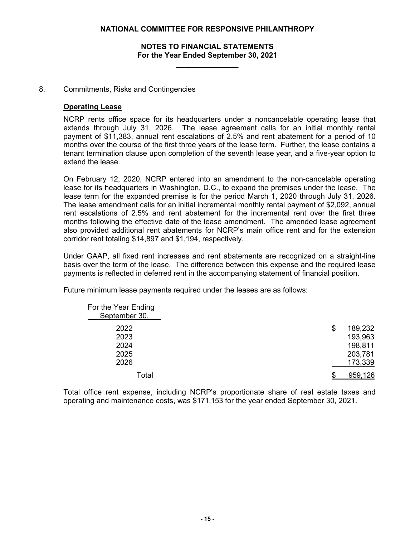#### **NOTES TO FINANCIAL STATEMENTS For the Year Ended September 30, 2021**  $\frac{1}{2}$

#### 8. Commitments, Risks and Contingencies

#### **Operating Lease**

NCRP rents office space for its headquarters under a noncancelable operating lease that extends through July 31, 2026. The lease agreement calls for an initial monthly rental payment of \$11,383, annual rent escalations of 2.5% and rent abatement for a period of 10 months over the course of the first three years of the lease term. Further, the lease contains a tenant termination clause upon completion of the seventh lease year, and a five-year option to extend the lease.

On February 12, 2020, NCRP entered into an amendment to the non-cancelable operating lease for its headquarters in Washington, D.C., to expand the premises under the lease. The lease term for the expanded premise is for the period March 1, 2020 through July 31, 2026. The lease amendment calls for an initial incremental monthly rental payment of \$2,092, annual rent escalations of 2.5% and rent abatement for the incremental rent over the first three months following the effective date of the lease amendment. The amended lease agreement also provided additional rent abatements for NCRP's main office rent and for the extension corridor rent totaling \$14,897 and \$1,194, respectively.

Under GAAP, all fixed rent increases and rent abatements are recognized on a straight-line basis over the term of the lease. The difference between this expense and the required lease payments is reflected in deferred rent in the accompanying statement of financial position.

Future minimum lease payments required under the leases are as follows:

| For the Year Ending<br>September 30, |               |
|--------------------------------------|---------------|
| 2022                                 | \$<br>189,232 |
| 2023                                 | 193,963       |
| 2024                                 | 198,811       |
| 2025                                 | 203,781       |
| 2026                                 | 173,339       |
| Total                                | 959,126       |

Total office rent expense, including NCRP's proportionate share of real estate taxes and operating and maintenance costs, was \$171,153 for the year ended September 30, 2021.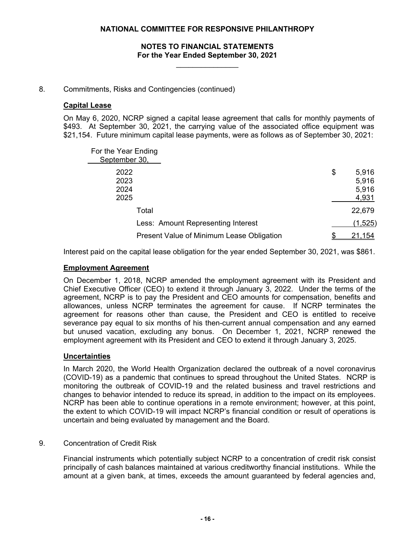#### **NOTES TO FINANCIAL STATEMENTS For the Year Ended September 30, 2021**  $\frac{1}{2}$

#### 8. Commitments, Risks and Contingencies (continued)

#### **Capital Lease**

On May 6, 2020, NCRP signed a capital lease agreement that calls for monthly payments of \$493. At September 30, 2021, the carrying value of the associated office equipment was \$21,154. Future minimum capital lease payments, were as follows as of September 30, 2021:

| For the Year Ending<br>September 30, |                                           |                      |
|--------------------------------------|-------------------------------------------|----------------------|
| 2022<br>2023                         |                                           | \$<br>5,916<br>5,916 |
| 2024<br>2025                         |                                           | 5,916<br>4,931       |
| Total                                |                                           | 22,679               |
|                                      | Less: Amount Representing Interest        | <u>(1,525)</u>       |
|                                      | Present Value of Minimum Lease Obligation | l.154                |

Interest paid on the capital lease obligation for the year ended September 30, 2021, was \$861.

#### **Employment Agreement**

On December 1, 2018, NCRP amended the employment agreement with its President and Chief Executive Officer (CEO) to extend it through January 3, 2022. Under the terms of the agreement, NCRP is to pay the President and CEO amounts for compensation, benefits and allowances, unless NCRP terminates the agreement for cause. If NCRP terminates the agreement for reasons other than cause, the President and CEO is entitled to receive severance pay equal to six months of his then-current annual compensation and any earned but unused vacation, excluding any bonus. On December 1, 2021, NCRP renewed the employment agreement with its President and CEO to extend it through January 3, 2025.

## **Uncertainties**

In March 2020, the World Health Organization declared the outbreak of a novel coronavirus (COVID-19) as a pandemic that continues to spread throughout the United States. NCRP is monitoring the outbreak of COVID-19 and the related business and travel restrictions and changes to behavior intended to reduce its spread, in addition to the impact on its employees. NCRP has been able to continue operations in a remote environment; however, at this point, the extent to which COVID-19 will impact NCRP's financial condition or result of operations is uncertain and being evaluated by management and the Board.

#### 9. Concentration of Credit Risk

Financial instruments which potentially subject NCRP to a concentration of credit risk consist principally of cash balances maintained at various creditworthy financial institutions. While the amount at a given bank, at times, exceeds the amount guaranteed by federal agencies and,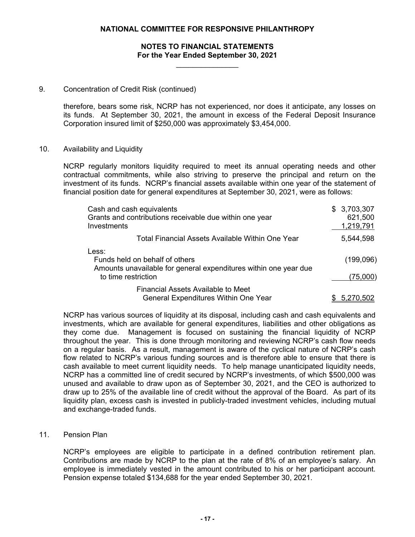#### **NOTES TO FINANCIAL STATEMENTS For the Year Ended September 30, 2021**  $\frac{1}{2}$

#### 9. Concentration of Credit Risk (continued)

therefore, bears some risk, NCRP has not experienced, nor does it anticipate, any losses on its funds. At September 30, 2021, the amount in excess of the Federal Deposit Insurance Corporation insured limit of \$250,000 was approximately \$3,454,000.

10. Availability and Liquidity

NCRP regularly monitors liquidity required to meet its annual operating needs and other contractual commitments, while also striving to preserve the principal and return on the investment of its funds. NCRP's financial assets available within one year of the statement of financial position date for general expenditures at September 30, 2021, were as follows:

| Cash and cash equivalents<br>Grants and contributions receivable due within one year<br>Investments                                | \$3,703,307<br>621,500<br>1,219,791 |
|------------------------------------------------------------------------------------------------------------------------------------|-------------------------------------|
| Total Financial Assets Available Within One Year                                                                                   | 5,544,598                           |
| Less:<br>Funds held on behalf of others<br>Amounts unavailable for general expenditures within one year due<br>to time restriction | (199,096)<br>(75,000)               |
| Financial Assets Available to Meet<br>General Expenditures Within One Year                                                         |                                     |

NCRP has various sources of liquidity at its disposal, including cash and cash equivalents and investments, which are available for general expenditures, liabilities and other obligations as they come due. Management is focused on sustaining the financial liquidity of NCRP throughout the year. This is done through monitoring and reviewing NCRP's cash flow needs on a regular basis. As a result, management is aware of the cyclical nature of NCRP's cash flow related to NCRP's various funding sources and is therefore able to ensure that there is cash available to meet current liquidity needs. To help manage unanticipated liquidity needs, NCRP has a committed line of credit secured by NCRP's investments, of which \$500,000 was unused and available to draw upon as of September 30, 2021, and the CEO is authorized to draw up to 25% of the available line of credit without the approval of the Board. As part of its liquidity plan, excess cash is invested in publicly-traded investment vehicles, including mutual and exchange-traded funds.

11. Pension Plan

NCRP's employees are eligible to participate in a defined contribution retirement plan. Contributions are made by NCRP to the plan at the rate of 8% of an employee's salary. An employee is immediately vested in the amount contributed to his or her participant account. Pension expense totaled \$134,688 for the year ended September 30, 2021.